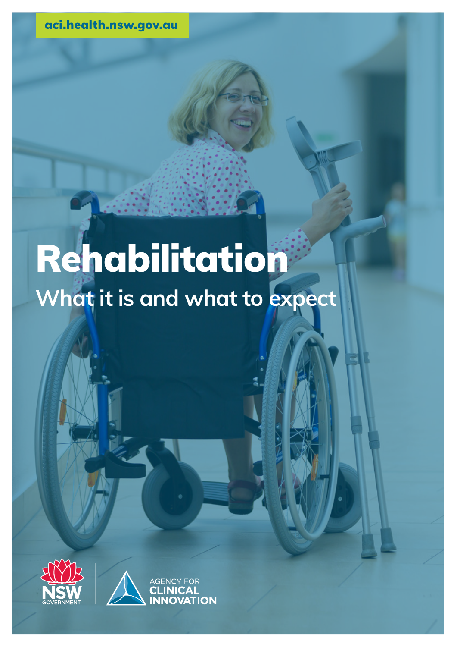aci.health.nsw.gov.au

# Rehabilitation **What it is and what to expect**

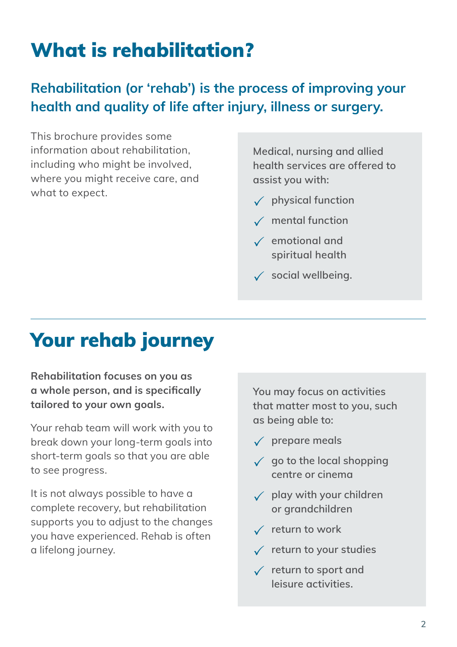### What is rehabilitation?

#### **Rehabilitation (or 'rehab') is the process of improving your health and quality of life after injury, illness or surgery.**

This brochure provides some information about rehabilitation, including who might be involved, where you might receive care, and what to expect.

**Medical, nursing and allied health services are offered to assist you with:**

- **physical function**
- **mental function**
- **emotional and spiritual health**
- **social wellbeing.**

#### Your rehab journey

**Rehabilitation focuses on you as a whole person, and is specifically tailored to your own goals.**

Your rehab team will work with you to break down your long-term goals into short-term goals so that you are able to see progress.

It is not always possible to have a complete recovery, but rehabilitation supports you to adjust to the changes you have experienced. Rehab is often a lifelong journey.

**You may focus on activities that matter most to you, such as being able to:**

- **prepare meals**
- **go to the local shopping centre or cinema**
- **play with your children or grandchildren**
- **return to work**
- **return to your studies**
- **return to sport and leisure activities.**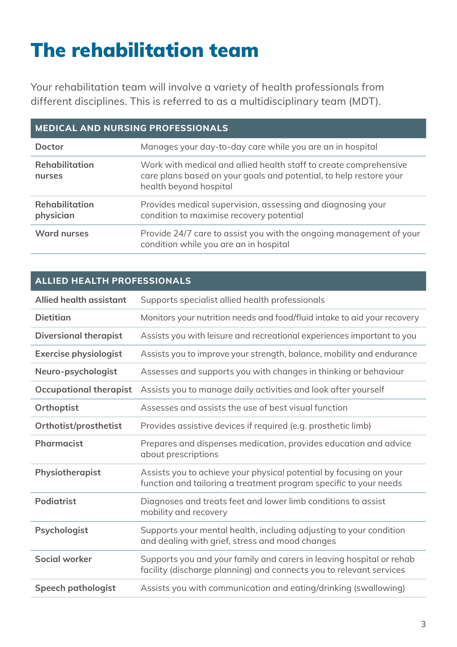### The rehabilitation team

Your rehabilitation team will involve a variety of health professionals from different disciplines. This is referred to as a multidisciplinary team (MDT).

| <b>MEDICAL AND NURSING PROFESSIONALS</b> |                                                                                                                                                                   |  |
|------------------------------------------|-------------------------------------------------------------------------------------------------------------------------------------------------------------------|--|
| Doctor                                   | Manages your day-to-day care while you are an in hospital                                                                                                         |  |
| <b>Rehabilitation</b><br>nurses          | Work with medical and allied health staff to create comprehensive<br>care plans based on your goals and potential, to help restore your<br>health beyond hospital |  |
| <b>Rehabilitation</b><br>physician       | Provides medical supervision, assessing and diagnosing your<br>condition to maximise recovery potential                                                           |  |
| Ward nurses                              | Provide 24/7 care to assist you with the ongoing management of your<br>condition while you are an in hospital                                                     |  |

#### **ALLIED HEALTH PROFESSIONALS**

| Allied health assistant       | Supports specialist allied health professionals                                                                                             |  |
|-------------------------------|---------------------------------------------------------------------------------------------------------------------------------------------|--|
| <b>Dietitian</b>              | Monitors your nutrition needs and food/fluid intake to aid your recovery                                                                    |  |
| <b>Diversional therapist</b>  | Assists you with leisure and recreational experiences important to you                                                                      |  |
| <b>Exercise physiologist</b>  | Assists you to improve your strength, balance, mobility and endurance                                                                       |  |
| Neuro-psychologist            | Assesses and supports you with changes in thinking or behaviour                                                                             |  |
| <b>Occupational therapist</b> | Assists you to manage daily activities and look after yourself                                                                              |  |
| Orthoptist                    | Assesses and assists the use of best visual function                                                                                        |  |
| Orthotist/prosthetist         | Provides assistive devices if required (e.g. prosthetic limb)                                                                               |  |
| Pharmacist                    | Prepares and dispenses medication, provides education and advice<br>about prescriptions                                                     |  |
| Physiotherapist               | Assists you to achieve your physical potential by focusing on your<br>function and tailoring a treatment program specific to your needs     |  |
| Podiatrist                    | Diagnoses and treats feet and lower limb conditions to assist<br>mobility and recovery                                                      |  |
| Psychologist                  | Supports your mental health, including adjusting to your condition<br>and dealing with grief, stress and mood changes                       |  |
| Social worker                 | Supports you and your family and carers in leaving hospital or rehab<br>facility (discharge planning) and connects you to relevant services |  |
| Speech pathologist            | Assists you with communication and eating/drinking (swallowing)                                                                             |  |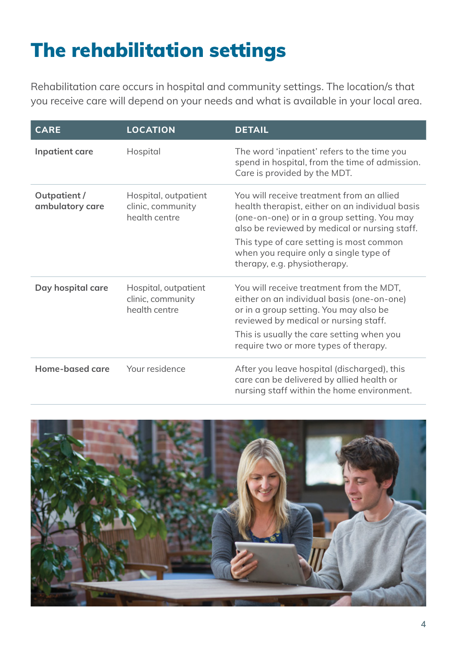### The rehabilitation settings

Rehabilitation care occurs in hospital and community settings. The location/s that you receive care will depend on your needs and what is available in your local area.

| <b>CARE</b>                    | <b>LOCATION</b>                                            | <b>DETAIL</b>                                                                                                                                                                                                                                                                                                      |
|--------------------------------|------------------------------------------------------------|--------------------------------------------------------------------------------------------------------------------------------------------------------------------------------------------------------------------------------------------------------------------------------------------------------------------|
| Inpatient care                 | Hospital                                                   | The word 'inpatient' refers to the time you<br>spend in hospital, from the time of admission.<br>Care is provided by the MDT.                                                                                                                                                                                      |
| Outpatient/<br>ambulatory care | Hospital, outpatient<br>clinic, community<br>health centre | You will receive treatment from an allied<br>health therapist, either on an individual basis<br>(one-on-one) or in a group setting. You may<br>also be reviewed by medical or nursing staff.<br>This type of care setting is most common<br>when you require only a single type of<br>therapy, e.g. physiotherapy. |
| Day hospital care              | Hospital, outpatient<br>clinic, community<br>health centre | You will receive treatment from the MDT,<br>either on an individual basis (one-on-one)<br>or in a group setting. You may also be<br>reviewed by medical or nursing staff.<br>This is usually the care setting when you<br>require two or more types of therapy.                                                    |
| Home-based care                | Your residence                                             | After you leave hospital (discharged), this<br>care can be delivered by allied health or<br>nursing staff within the home environment.                                                                                                                                                                             |

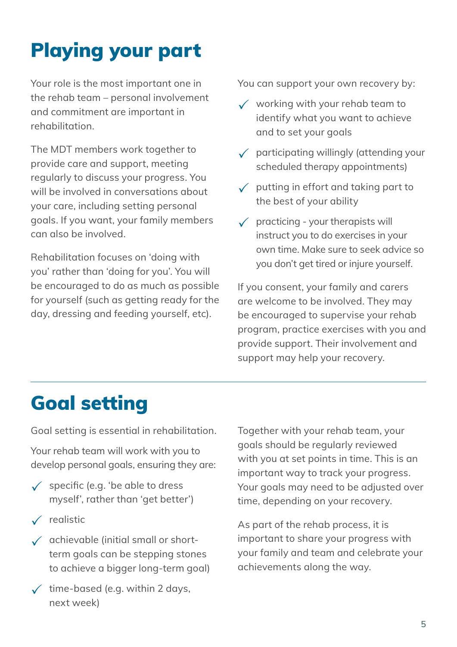## Playing your part

Your role is the most important one in the rehab team – personal involvement and commitment are important in rehabilitation.

The MDT members work together to provide care and support, meeting regularly to discuss your progress. You will be involved in conversations about your care, including setting personal goals. If you want, your family members can also be involved.

Rehabilitation focuses on 'doing with you' rather than 'doing for you'. You will be encouraged to do as much as possible for yourself (such as getting ready for the day, dressing and feeding yourself, etc).

You can support your own recovery by:

- $\checkmark$  working with your rehab team to identify what you want to achieve and to set your goals
- $\sqrt{\phantom{a}}$  participating willingly (attending your scheduled therapy appointments)
- $\sqrt{\phantom{a}}$  putting in effort and taking part to the best of your ability
- $\sqrt{\phantom{a}}$  practicing your therapists will instruct you to do exercises in your own time. Make sure to seek advice so you don't get tired or injure yourself.

If you consent, your family and carers are welcome to be involved. They may be encouraged to supervise your rehab program, practice exercises with you and provide support. Their involvement and support may help your recovery.

### Goal setting

Goal setting is essential in rehabilitation.

Your rehab team will work with you to develop personal goals, ensuring they are:

- $\checkmark$  specific (e.g. 'be able to dress myself', rather than 'get better')
- $\checkmark$  realistic
- $\sqrt{\phantom{a}}$  achievable (initial small or shortterm goals can be stepping stones to achieve a bigger long-term goal)
- $\checkmark$  time-based (e.g. within 2 days, next week)

Together with your rehab team, your goals should be regularly reviewed with you at set points in time. This is an important way to track your progress. Your goals may need to be adjusted over time, depending on your recovery.

As part of the rehab process, it is important to share your progress with your family and team and celebrate your achievements along the way.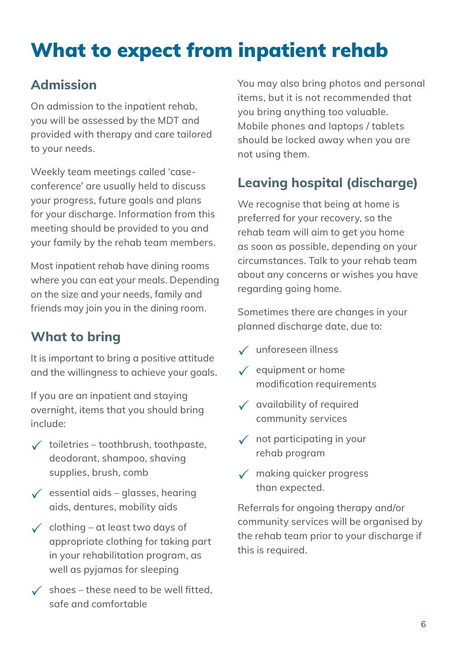### What to expect from inpatient rehab

#### **Admission**

On admission to the inpatient rehab, you will be assessed by the MDT and provided with therapy and care tailored to your needs.

Weekly team meetings called 'caseconference' are usually held to discuss your progress, future goals and plans for your discharge. Information from this meeting should be provided to you and your family by the rehab team members.

Most inpatient rehab have dining rooms where you can eat your meals. Depending on the size and your needs, family and friends may join you in the dining room.

#### **What to bring**

It is important to bring a positive attitude and the willingness to achieve your goals.

If you are an inpatient and staying overnight, items that you should bring include:

- $\checkmark$  toiletries toothbrush, toothpaste, deodorant, shampoo, shaving supplies, brush, comb
- $\checkmark$  essential aids glasses, hearing aids, dentures, mobility aids
- $\checkmark$  clothing at least two days of appropriate clothing for taking part in your rehabilitation program, as well as pyjamas for sleeping
- $\checkmark$  shoes these need to be well fitted. safe and comfortable

You may also bring photos and personal items, but it is not recommended that you bring anything too valuable. Mobile phones and laptops / tablets should be locked away when you are not using them.

#### **Leaving hospital (discharge)**

We recognise that being at home is preferred for your recovery, so the rehab team will aim to get you home as soon as possible, depending on your circumstances. Talk to your rehab team about any concerns or wishes you have regarding going home.

Sometimes there are changes in your planned discharge date, due to:

- unforeseen illness
- $\checkmark$  equipment or home modification requirements
- $\checkmark$  availability of required community services
- $\sqrt{\phantom{a}}$  not participating in your rehab program
- $\sqrt{\phantom{a}}$  making quicker progress than expected.

Referrals for ongoing therapy and/or community services will be organised by the rehab team prior to your discharge if this is required.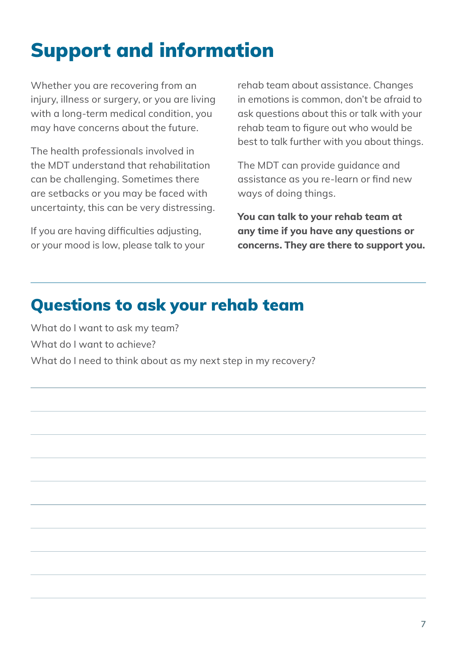### Support and information

Whether you are recovering from an injury, illness or surgery, or you are living with a long-term medical condition, you may have concerns about the future.

The health professionals involved in the MDT understand that rehabilitation can be challenging. Sometimes there are setbacks or you may be faced with uncertainty, this can be very distressing.

If you are having difficulties adjusting, or your mood is low, please talk to your rehab team about assistance. Changes in emotions is common, don't be afraid to ask questions about this or talk with your rehab team to figure out who would be best to talk further with you about things.

The MDT can provide guidance and assistance as you re-learn or find new ways of doing things.

**You can talk to your rehab team at any time if you have any questions or concerns. They are there to support you.**

#### Questions to ask your rehab team

What do I want to ask my team? What do I want to achieve? What do I need to think about as my next step in my recovery?